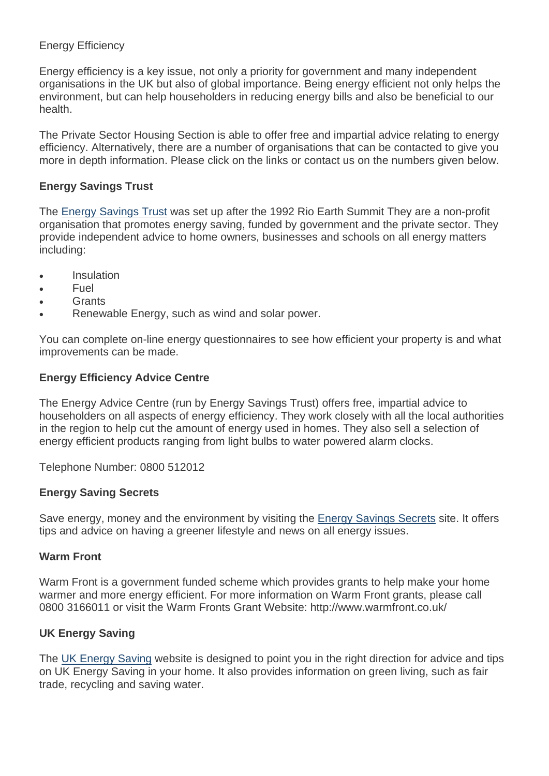## Energy Efficiency

Energy efficiency is a key issue, not only a priority for government and many independent organisations in the UK but also of global importance. Being energy efficient not only helps the environment, but can help householders in reducing energy bills and also be beneficial to our health.

The Private Sector Housing Section is able to offer free and impartial advice relating to energy efficiency. Alternatively, there are a number of organisations that can be contacted to give you more in depth information. Please click on the links or contact us on the numbers given below.

## **Energy Savings Trust**

The [Energy Savings Trust](http://www.energysavingtrust.org.uk/) was set up after the 1992 Rio Earth Summit They are a non-profit organisation that promotes energy saving, funded by government and the private sector. They provide independent advice to home owners, businesses and schools on all energy matters including:

- Insulation
- Fuel
- Grants
- Renewable Energy, such as wind and solar power.

You can complete on-line energy questionnaires to see how efficient your property is and what improvements can be made.

## **Energy Efficiency Advice Centre**

The Energy Advice Centre (run by Energy Savings Trust) offers free, impartial advice to householders on all aspects of energy efficiency. They work closely with all the local authorities in the region to help cut the amount of energy used in homes. They also sell a selection of energy efficient products ranging from light bulbs to water powered alarm clocks.

Telephone Number: 0800 512012

#### **Energy Saving Secrets**

Save energy, money and the environment by visiting the **Energy Savings Secrets** site. It offers tips and advice on having a greener lifestyle and news on all energy issues.

#### **Warm Front**

Warm Front is a government funded scheme which provides grants to help make your home warmer and more energy efficient. For more information on Warm Front grants, please call 0800 3166011 or visit the Warm Fronts Grant Website: http://www.warmfront.co.uk/

# **UK Energy Saving**

The [UK Energy Saving](http://www.uk-energy-saving.com/) website is designed to point you in the right direction for advice and tips on UK Energy Saving in your home. It also provides information on green living, such as fair trade, recycling and saving water.